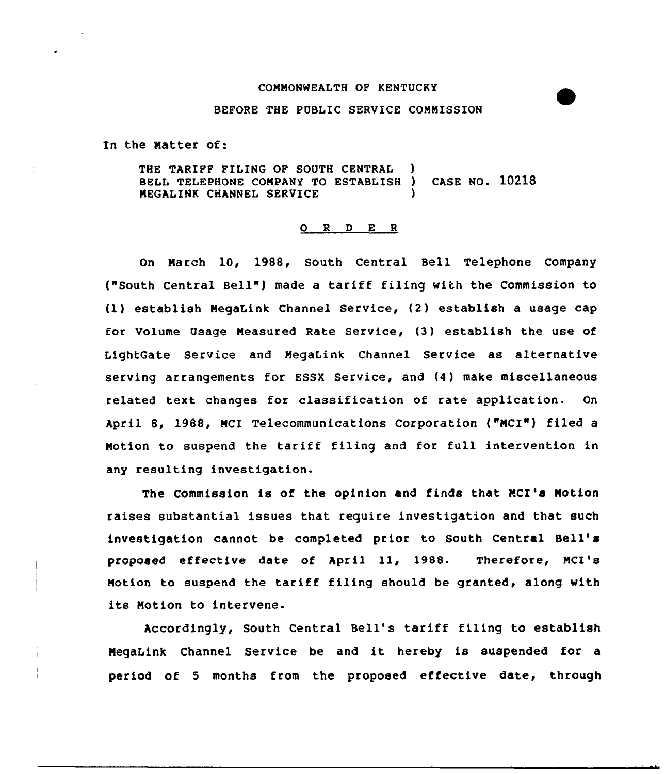### COMMONWEALTH OF KENTUCKY

#### BEFORE THE PUBLIC SERVICE COMMISSION

In the Matter of:

THE TARIFF FILING OF SOUTH CENTRAL BELL TELEPHONE COMPANY TO ESTABLISH ) CASE NO. 10218 MEGALINK CHANNEL SERVICE

### 0 <sup>R</sup> <sup>D</sup> E <sup>R</sup>

On March 10, 1988, South Central sell Telephone Company ("South Central Bell" ) made <sup>a</sup> tariff filing with the Commission to (1) establish NegaLink Channel Service, (2) establish a usage cap for Volume Usage Measured Rate Service, (3) establish the use of LightGate Service and MegaLink Channel Service as alternative serving arrangements for ESSX Service, and (4) make miscellaneous related text changes for classification of rate application. On April 8, 1988, NCI Telecommunications Corporation ("NCI"} filed <sup>a</sup> Motion to suspend the tariff filing and for full intervention in any resulting investigation.

The Commission is of the opinion and finds that MCI's Motion raises substantial issues that require investigation and that such investigation cannot be completed prior to South Central Bell' proposed effective date of April 11, 1988. Therefore, MCI's Motion to suspend the tariff filing should be granted, along with its Notion to intervene.

Accordingly, South Central Bell's tariff filing to establish Negatink Channel Service be and it hereby is suspended for <sup>a</sup> period of <sup>5</sup> months from the proposed effective date, through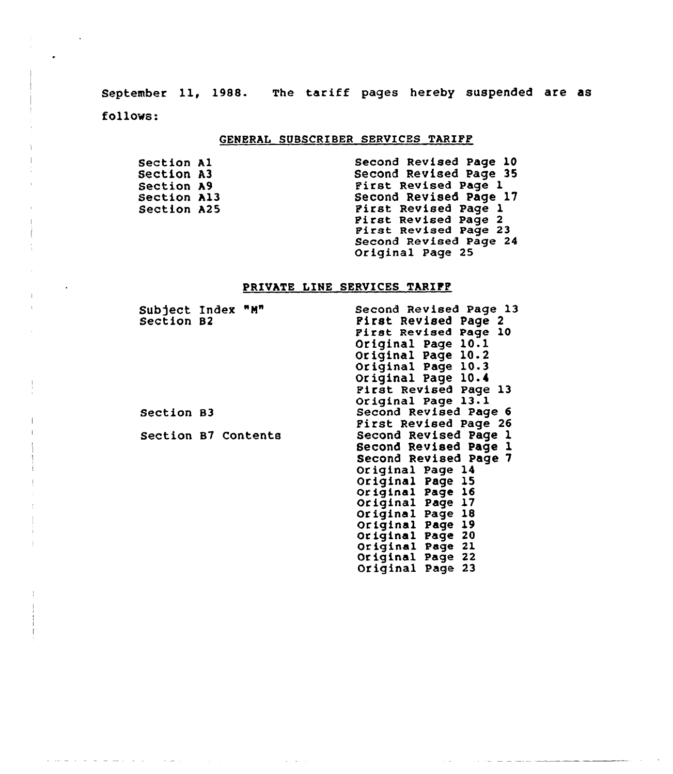September ll, 1988. The tariff pages hereby suspended are as follows:

## GENERAL SUBSCRIBER SERVICES TARIFF

| Section Al  | Second Revised Page 10 |
|-------------|------------------------|
| Section A3  | Second Revised Page 35 |
| Section A9  | First Revised Page 1   |
| Section Al3 | Second Revised Page 17 |
| Section A25 | First Revised Page 1   |
|             | Pirst Revised Page 2   |
|             | First Revised Page 23  |
|             | Second Revised Page 24 |
|             | Original Page 25       |

# PRIVATE LINE SERVICES TARIFF

| Subject Index "M"<br>Section B2 | Second Revised Page 13<br>Pirst Revised Page 2 |
|---------------------------------|------------------------------------------------|
|                                 | First Revised Page 10                          |
|                                 | Original Page 10.1                             |
|                                 | Original Page 10.2                             |
|                                 | Original Page 10.3                             |
|                                 | Original Page 10.4                             |
|                                 | Pirst Revised Page 13                          |
|                                 | Original Page 13.1                             |
| Section B3                      | Second Revised Page 6                          |
|                                 | <b>First Revised Page 26</b>                   |
| Section B7 Contents             | Second Revised Page 1                          |
|                                 | Second Revised Page 1                          |
|                                 | Second Revised Page 7                          |
|                                 | Original Page 14                               |
|                                 | Original Page 15                               |
|                                 | Original Page 16                               |
|                                 | Original Page 17                               |
|                                 | Original Page 18                               |
|                                 | Original Page 19                               |
|                                 | Original Page 20<br>Original Page 21           |
|                                 | Original Page 22                               |
|                                 | Original Page 23                               |
|                                 |                                                |

 $\label{eq:2.1} \mathcal{L}(\mathcal{L}^{\text{max}}_{\mathcal{L}}(\mathcal{L}^{\text{max}}_{\mathcal{L}})) \leq \mathcal{L}(\mathcal{L}^{\text{max}}_{\mathcal{L}}(\mathcal{L}^{\text{max}}_{\mathcal{L}}))$ 

and the company of the company of the company of the company of the company of the company of the company of the company of the company of the company of the company of the company of the company of the company of the comp

المتصافيات المتصارف فسنطرط القارعا والطامورية